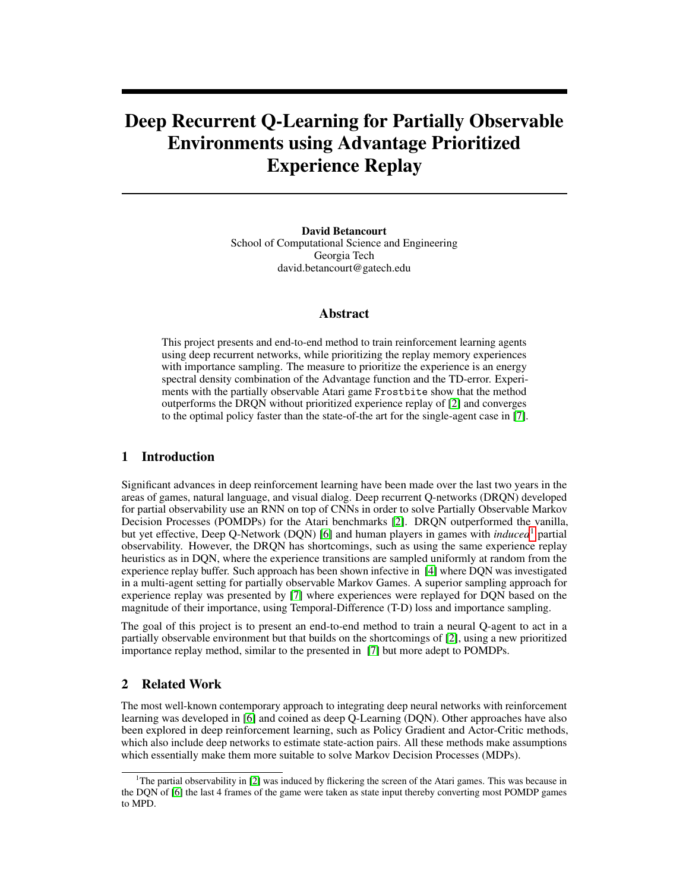# Deep Recurrent Q-Learning for Partially Observable Environments using Advantage Prioritized Experience Replay

David Betancourt School of Computational Science and Engineering Georgia Tech david.betancourt@gatech.edu

#### Abstract

This project presents and end-to-end method to train reinforcement learning agents using deep recurrent networks, while prioritizing the replay memory experiences with importance sampling. The measure to prioritize the experience is an energy spectral density combination of the Advantage function and the TD-error. Experiments with the partially observable Atari game Frostbite show that the method outperforms the DRQN without prioritized experience replay of [\[2\]](#page-5-0) and converges to the optimal policy faster than the state-of-the art for the single-agent case in [\[7\]](#page-5-1).

## 1 Introduction

Significant advances in deep reinforcement learning have been made over the last two years in the areas of games, natural language, and visual dialog. Deep recurrent Q-networks (DRQN) developed for partial observability use an RNN on top of CNNs in order to solve Partially Observable Markov Decision Processes (POMDPs) for the Atari benchmarks [\[2\]](#page-5-0). DRQN outperformed the vanilla, but yet effective, Deep Q-Network (DQN) [\[6\]](#page-5-2) and human players in games with *induced*[1](#page-0-0) partial observability. However, the DRQN has shortcomings, such as using the same experience replay heuristics as in DQN, where the experience transitions are sampled uniformly at random from the experience replay buffer. Such approach has been shown infective in [\[4\]](#page-5-3) where DQN was investigated in a multi-agent setting for partially observable Markov Games. A superior sampling approach for experience replay was presented by [\[7\]](#page-5-1) where experiences were replayed for DQN based on the magnitude of their importance, using Temporal-Difference (T-D) loss and importance sampling.

The goal of this project is to present an end-to-end method to train a neural Q-agent to act in a partially observable environment but that builds on the shortcomings of [\[2\]](#page-5-0), using a new prioritized importance replay method, similar to the presented in [\[7\]](#page-5-1) but more adept to POMDPs.

## 2 Related Work

The most well-known contemporary approach to integrating deep neural networks with reinforcement learning was developed in [\[6\]](#page-5-2) and coined as deep Q-Learning (DQN). Other approaches have also been explored in deep reinforcement learning, such as Policy Gradient and Actor-Critic methods, which also include deep networks to estimate state-action pairs. All these methods make assumptions which essentially make them more suitable to solve Markov Decision Processes (MDPs).

<span id="page-0-0"></span><sup>&</sup>lt;sup>1</sup>The partial observability in  $[2]$  was induced by flickering the screen of the Atari games. This was because in the DQN of [\[6\]](#page-5-2) the last 4 frames of the game were taken as state input thereby converting most POMDP games to MPD.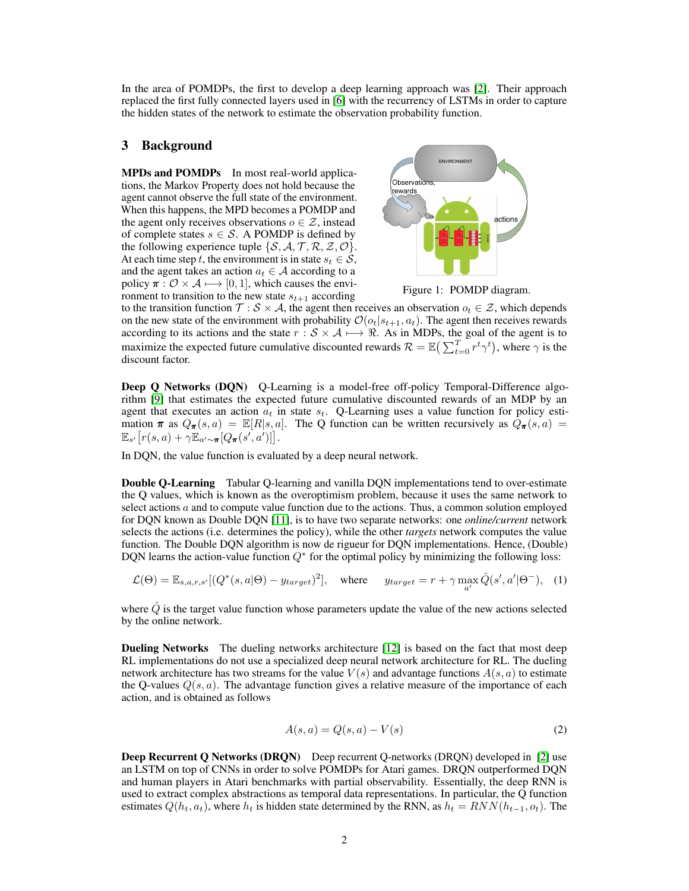In the area of POMDPs, the first to develop a deep learning approach was [\[2\]](#page-5-0). Their approach replaced the first fully connected layers used in [\[6\]](#page-5-2) with the recurrency of LSTMs in order to capture the hidden states of the network to estimate the observation probability function.

#### 3 Background

MPDs and POMDPs In most real-world applications, the Markov Property does not hold because the agent cannot observe the full state of the environment. When this happens, the MPD becomes a POMDP and the agent only receives observations  $o \in \mathcal{Z}$ , instead of complete states  $s \in S$ . A POMDP is defined by the following experience tuple  $\{S, A, T, R, Z, O\}.$ At each time step t, the environment is in state  $s_t \in \mathcal{S}$ , and the agent takes an action  $a_t \in A$  according to a policy  $\pi : \mathcal{O} \times \mathcal{A} \longmapsto [0, 1]$ , which causes the environment to transition to the new state  $s_{t+1}$  according



Figure 1: POMDP diagram.

to the transition function  $\mathcal{T}: \mathcal{S} \times \mathcal{A}$ , the agent then receives an observation  $o_t \in \mathcal{Z}$ , which depends on the new state of the environment with probability  $\mathcal{O}(o_t|s_{t+1}, a_t)$ . The agent then receives rewards according to its actions and the state  $r : S \times A \longrightarrow \Re$ . As in MDPs, the goal of the agent is to maximize the expected future cumulative discounted rewards  $\mathcal{R} = \mathbb{E}\left(\sum_{t=0}^{T} r^t \gamma^t\right)$ , where  $\gamma$  is the discount factor.

Deep Q Networks (DQN) Q-Learning is a model-free off-policy Temporal-Difference algorithm [\[9\]](#page-5-4) that estimates the expected future cumulative discounted rewards of an MDP by an agent that executes an action  $a_t$  in state  $s_t$ . Q-Learning uses a value function for policy estimation  $\pi$  as  $Q_{\pi}(s, a) = \mathbb{E}[R|s, a]$ . The Q function can be written recursively as  $\mathcal{Q}_{\pi}(s, a) =$  $\mathbb{E}_{s'}\big[r(s, a)+\gamma\mathbb{E}_{a'\sim \boldsymbol{\pi}}[Q_{\boldsymbol{\pi}}(s', a')]\big].$ 

In DQN, the value function is evaluated by a deep neural network.

Double Q-Learning Tabular Q-learning and vanilla DQN implementations tend to over-estimate the Q values, which is known as the overoptimism problem, because it uses the same network to select actions  $a$  and to compute value function due to the actions. Thus, a common solution employed for DQN known as Double DQN [\[11\]](#page-5-5), is to have two separate networks: one *online/current* network selects the actions (i.e. determines the policy), while the other *targets* network computes the value function. The Double DQN algorithm is now de rigueur for DQN implementations. Hence, (Double) DQN learns the action-value function  $Q^*$  for the optimal policy by minimizing the following loss:

$$
\mathcal{L}(\Theta) = \mathbb{E}_{s,a,r,s'}[(Q^*(s,a|\Theta) - y_{target})^2], \quad \text{where} \quad y_{target} = r + \gamma \max_{a'} \hat{Q}(s',a'|\Theta^-), \quad (1)
$$

where  $\dot{Q}$  is the target value function whose parameters update the value of the new actions selected by the online network.

Dueling Networks The dueling networks architecture [\[12\]](#page-6-0) is based on the fact that most deep RL implementations do not use a specialized deep neural network architecture for RL. The dueling network architecture has two streams for the value  $V(s)$  and advantage functions  $A(s, a)$  to estimate the Q-values  $Q(s, a)$ . The advantage function gives a relative measure of the importance of each action, and is obtained as follows

$$
A(s,a) = Q(s,a) - V(s)
$$
\n<sup>(2)</sup>

**Deep Recurrent Q Networks (DRQN)** Deep recurrent Q-networks (DRQN) developed in [\[2\]](#page-5-0) use an LSTM on top of CNNs in order to solve POMDPs for Atari games. DRQN outperformed DQN and human players in Atari benchmarks with partial observability. Essentially, the deep RNN is used to extract complex abstractions as temporal data representations. In particular, the Q function estimates  $Q(h_t, a_t)$ , where  $h_t$  is hidden state determined by the RNN, as  $h_t = RNN(h_{t-1}, a_t)$ . The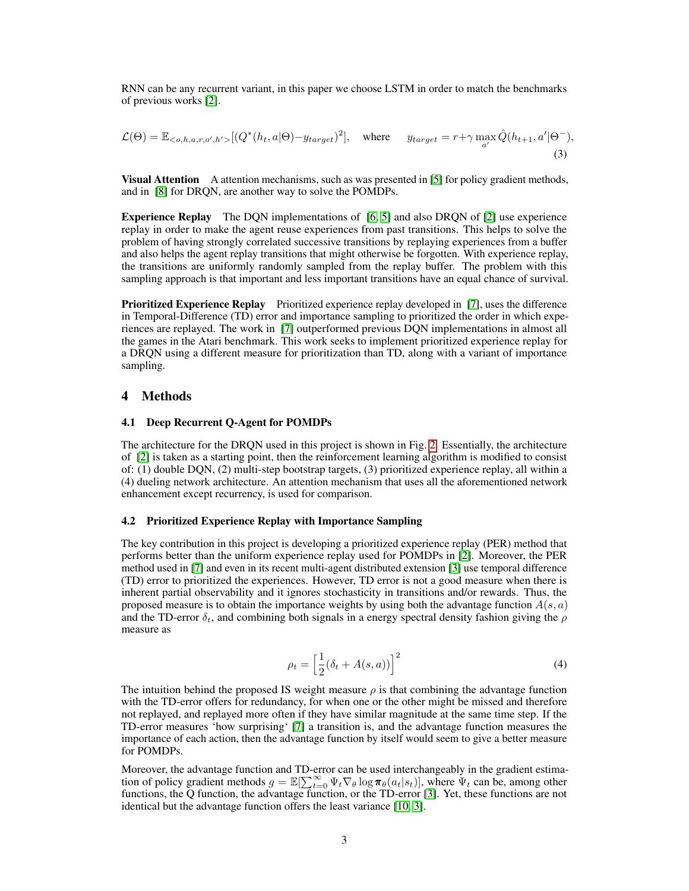RNN can be any recurrent variant, in this paper we choose LSTM in order to match the benchmarks of previous works [\[2\]](#page-5-0).

$$
\mathcal{L}(\Theta) = \mathbb{E}_{< o, h, a, r, o', h'} \left[ \left( Q^*(h_t, a | \Theta) - y_{target} \right)^2 \right], \quad \text{where} \quad y_{target} = r + \gamma \max_{a'} \hat{Q}(h_{t+1}, a' | \Theta^{-}), \tag{3}
$$

**Visual Attention** A attention mechanisms, such as was presented in [\[5\]](#page-5-6) for policy gradient methods, and in [\[8\]](#page-5-7) for DRQN, are another way to solve the POMDPs.

Experience Replay The DQN implementations of [\[6,](#page-5-2) [5\]](#page-5-6) and also DRQN of [\[2\]](#page-5-0) use experience replay in order to make the agent reuse experiences from past transitions. This helps to solve the problem of having strongly correlated successive transitions by replaying experiences from a buffer and also helps the agent replay transitions that might otherwise be forgotten. With experience replay, the transitions are uniformly randomly sampled from the replay buffer. The problem with this sampling approach is that important and less important transitions have an equal chance of survival.

Prioritized Experience Replay Prioritized experience replay developed in [\[7\]](#page-5-1), uses the difference in Temporal-Difference (TD) error and importance sampling to prioritized the order in which experiences are replayed. The work in [\[7\]](#page-5-1) outperformed previous DQN implementations in almost all the games in the Atari benchmark. This work seeks to implement prioritized experience replay for a DRQN using a different measure for prioritization than TD, along with a variant of importance sampling.

## 4 Methods

#### <span id="page-2-0"></span>4.1 Deep Recurrent Q-Agent for POMDPs

The architecture for the DRQN used in this project is shown in Fig. [2.](#page-3-0) Essentially, the architecture of [\[2\]](#page-5-0) is taken as a starting point, then the reinforcement learning algorithm is modified to consist of: (1) double DQN, (2) multi-step bootstrap targets, (3) prioritized experience replay, all within a (4) dueling network architecture. An attention mechanism that uses all the aforementioned network enhancement except recurrency, is used for comparison.

#### <span id="page-2-1"></span>4.2 Prioritized Experience Replay with Importance Sampling

The key contribution in this project is developing a prioritized experience replay (PER) method that performs better than the uniform experience replay used for POMDPs in [\[2\]](#page-5-0). Moreover, the PER method used in [\[7\]](#page-5-1) and even in its recent multi-agent distributed extension [\[3\]](#page-5-8) use temporal difference (TD) error to prioritized the experiences. However, TD error is not a good measure when there is inherent partial observability and it ignores stochasticity in transitions and/or rewards. Thus, the proposed measure is to obtain the importance weights by using both the advantage function  $A(s, a)$ and the TD-error  $\delta_t$ , and combining both signals in a energy spectral density fashion giving the  $\rho$ measure as

$$
\rho_t = \left[\frac{1}{2}(\delta_t + A(s, a))\right]^2 \tag{4}
$$

The intuition behind the proposed IS weight measure  $\rho$  is that combining the advantage function with the TD-error offers for redundancy, for when one or the other might be missed and therefore not replayed, and replayed more often if they have similar magnitude at the same time step. If the TD-error measures 'how surprising' [\[7\]](#page-5-1) a transition is, and the advantage function measures the importance of each action, then the advantage function by itself would seem to give a better measure for POMDPs.

Moreover, the advantage function and TD-error can be used interchangeably in the gradient estimation of policy gradient methods  $g = \mathbb{E}[\sum_{t=0}^{\infty} \Psi_t \nabla_{\theta} \log \pi_{\theta}(a_t|s_t)]$ , where  $\Psi_t$  can be, among other functions, the Q function, the advantage function, or the TD-error [\[3\]](#page-5-8). Yet, these functions are not identical but the advantage function offers the least variance [\[10,](#page-5-9) [3\]](#page-5-8).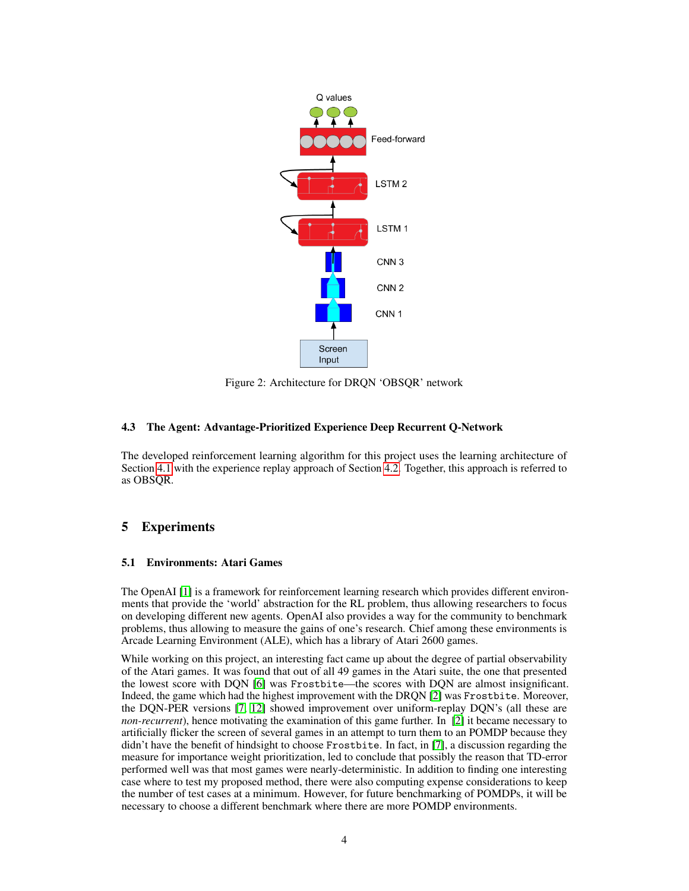<span id="page-3-0"></span>

Figure 2: Architecture for DRQN 'OBSQR' network

#### 4.3 The Agent: Advantage-Prioritized Experience Deep Recurrent Q-Network

The developed reinforcement learning algorithm for this project uses the learning architecture of Section [4.1](#page-2-0) with the experience replay approach of Section [4.2.](#page-2-1) Together, this approach is referred to as OBSQR.

## 5 Experiments

#### 5.1 Environments: Atari Games

The OpenAI [\[1\]](#page-5-10) is a framework for reinforcement learning research which provides different environments that provide the 'world' abstraction for the RL problem, thus allowing researchers to focus on developing different new agents. OpenAI also provides a way for the community to benchmark problems, thus allowing to measure the gains of one's research. Chief among these environments is Arcade Learning Environment (ALE), which has a library of Atari 2600 games.

While working on this project, an interesting fact came up about the degree of partial observability of the Atari games. It was found that out of all 49 games in the Atari suite, the one that presented the lowest score with DQN [\[6\]](#page-5-2) was Frostbite—the scores with DQN are almost insignificant. Indeed, the game which had the highest improvement with the DRQN [\[2\]](#page-5-0) was Frostbite. Moreover, the DQN-PER versions [\[7,](#page-5-1) [12\]](#page-6-0) showed improvement over uniform-replay DQN's (all these are *non-recurrent*), hence motivating the examination of this game further. In [\[2\]](#page-5-0) it became necessary to artificially flicker the screen of several games in an attempt to turn them to an POMDP because they didn't have the benefit of hindsight to choose Frostbite. In fact, in [\[7\]](#page-5-1), a discussion regarding the measure for importance weight prioritization, led to conclude that possibly the reason that TD-error performed well was that most games were nearly-deterministic. In addition to finding one interesting case where to test my proposed method, there were also computing expense considerations to keep the number of test cases at a minimum. However, for future benchmarking of POMDPs, it will be necessary to choose a different benchmark where there are more POMDP environments.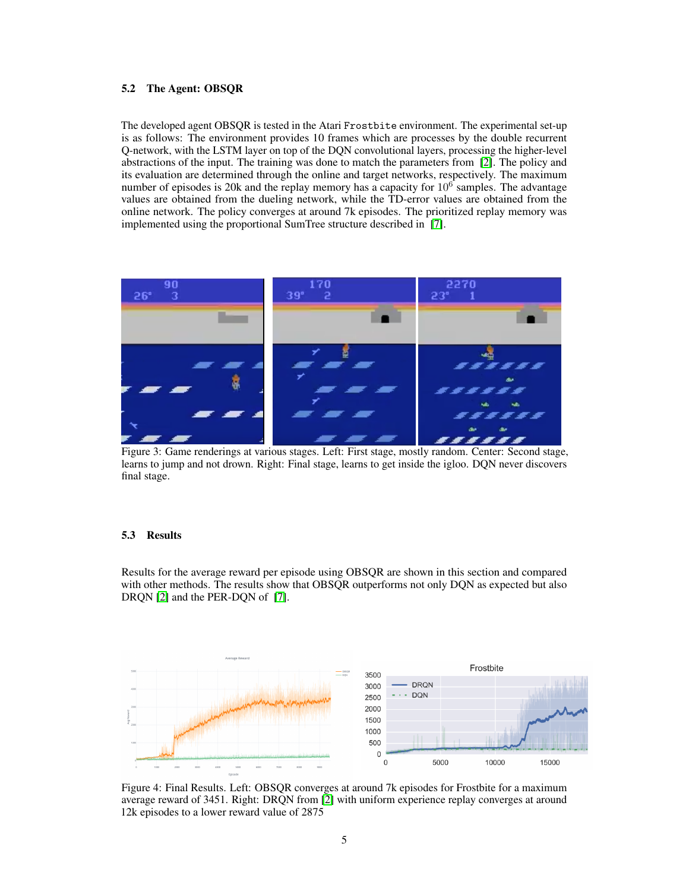#### 5.2 The Agent: OBSQR

The developed agent OBSQR is tested in the Atari Frostbite environment. The experimental set-up is as follows: The environment provides 10 frames which are processes by the double recurrent Q-network, with the LSTM layer on top of the DQN convolutional layers, processing the higher-level abstractions of the input. The training was done to match the parameters from [\[2\]](#page-5-0). The policy and its evaluation are determined through the online and target networks, respectively. The maximum number of episodes is 20k and the replay memory has a capacity for  $10<sup>6</sup>$  samples. The advantage values are obtained from the dueling network, while the TD-error values are obtained from the online network. The policy converges at around 7k episodes. The prioritized replay memory was implemented using the proportional SumTree structure described in [\[7\]](#page-5-1).



Figure 3: Game renderings at various stages. Left: First stage, mostly random. Center: Second stage, learns to jump and not drown. Right: Final stage, learns to get inside the igloo. DQN never discovers final stage.

#### 5.3 Results

Results for the average reward per episode using OBSQR are shown in this section and compared with other methods. The results show that OBSOR outperforms not only DON as expected but also DRQN [\[2\]](#page-5-0) and the PER-DQN of [\[7\]](#page-5-1).



Figure 4: Final Results. Left: OBSQR converges at around 7k episodes for Frostbite for a maximum average reward of 3451. Right: DRQN from [\[2\]](#page-5-0) with uniform experience replay converges at around 12k episodes to a lower reward value of 2875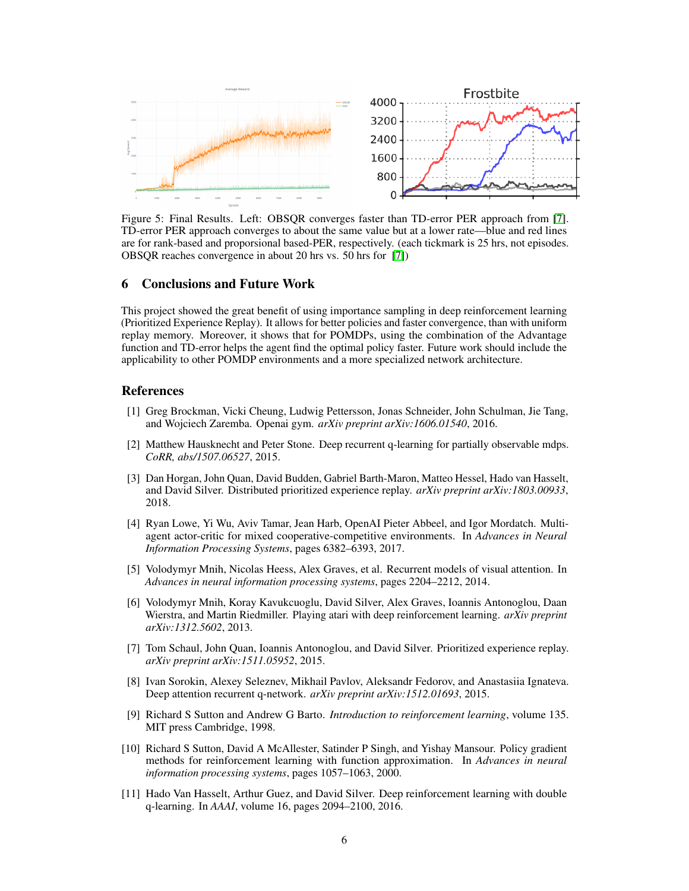

Figure 5: Final Results. Left: OBSQR converges faster than TD-error PER approach from [\[7\]](#page-5-1). TD-error PER approach converges to about the same value but at a lower rate—blue and red lines are for rank-based and proporsional based-PER, respectively. (each tickmark is 25 hrs, not episodes. OBSQR reaches convergence in about 20 hrs vs. 50 hrs for [\[7\]](#page-5-1))

#### 6 Conclusions and Future Work

This project showed the great benefit of using importance sampling in deep reinforcement learning (Prioritized Experience Replay). It allows for better policies and faster convergence, than with uniform replay memory. Moreover, it shows that for POMDPs, using the combination of the Advantage function and TD-error helps the agent find the optimal policy faster. Future work should include the applicability to other POMDP environments and a more specialized network architecture.

## References

- <span id="page-5-10"></span>[1] Greg Brockman, Vicki Cheung, Ludwig Pettersson, Jonas Schneider, John Schulman, Jie Tang, and Wojciech Zaremba. Openai gym. *arXiv preprint arXiv:1606.01540*, 2016.
- <span id="page-5-0"></span>[2] Matthew Hausknecht and Peter Stone. Deep recurrent q-learning for partially observable mdps. *CoRR, abs/1507.06527*, 2015.
- <span id="page-5-8"></span>[3] Dan Horgan, John Quan, David Budden, Gabriel Barth-Maron, Matteo Hessel, Hado van Hasselt, and David Silver. Distributed prioritized experience replay. *arXiv preprint arXiv:1803.00933*, 2018.
- <span id="page-5-3"></span>[4] Ryan Lowe, Yi Wu, Aviv Tamar, Jean Harb, OpenAI Pieter Abbeel, and Igor Mordatch. Multiagent actor-critic for mixed cooperative-competitive environments. In *Advances in Neural Information Processing Systems*, pages 6382–6393, 2017.
- <span id="page-5-6"></span>[5] Volodymyr Mnih, Nicolas Heess, Alex Graves, et al. Recurrent models of visual attention. In *Advances in neural information processing systems*, pages 2204–2212, 2014.
- <span id="page-5-2"></span>[6] Volodymyr Mnih, Koray Kavukcuoglu, David Silver, Alex Graves, Ioannis Antonoglou, Daan Wierstra, and Martin Riedmiller. Playing atari with deep reinforcement learning. *arXiv preprint arXiv:1312.5602*, 2013.
- <span id="page-5-1"></span>[7] Tom Schaul, John Quan, Ioannis Antonoglou, and David Silver. Prioritized experience replay. *arXiv preprint arXiv:1511.05952*, 2015.
- <span id="page-5-7"></span>[8] Ivan Sorokin, Alexey Seleznev, Mikhail Pavlov, Aleksandr Fedorov, and Anastasiia Ignateva. Deep attention recurrent q-network. *arXiv preprint arXiv:1512.01693*, 2015.
- <span id="page-5-4"></span>[9] Richard S Sutton and Andrew G Barto. *Introduction to reinforcement learning*, volume 135. MIT press Cambridge, 1998.
- <span id="page-5-9"></span>[10] Richard S Sutton, David A McAllester, Satinder P Singh, and Yishay Mansour. Policy gradient methods for reinforcement learning with function approximation. In *Advances in neural information processing systems*, pages 1057–1063, 2000.
- <span id="page-5-5"></span>[11] Hado Van Hasselt, Arthur Guez, and David Silver. Deep reinforcement learning with double q-learning. In *AAAI*, volume 16, pages 2094–2100, 2016.